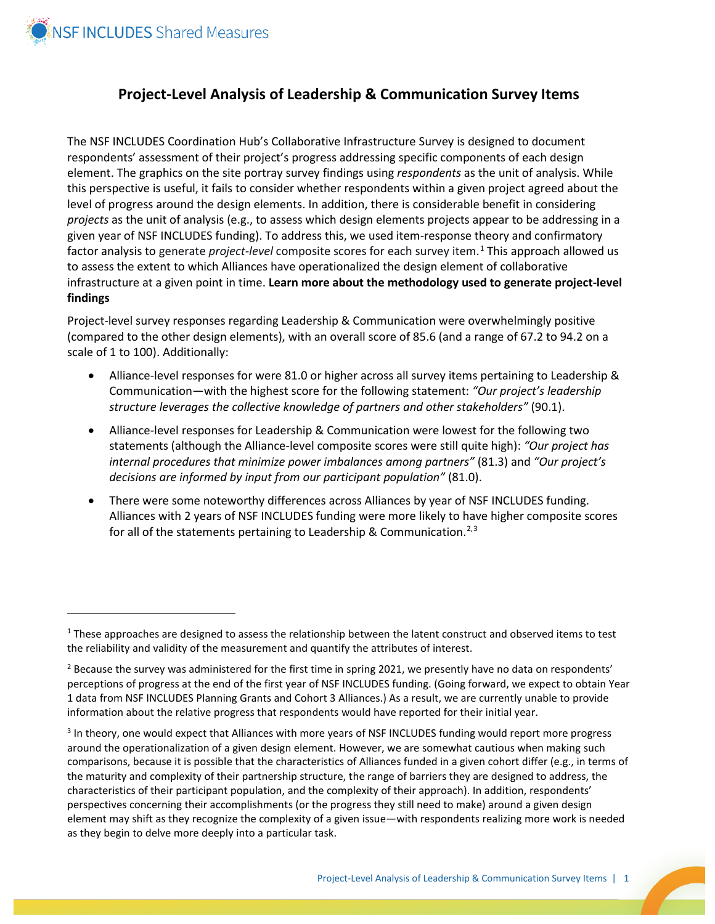

 $\overline{a}$ 

## **Project-Level Analysis of Leadership & Communication Survey Items**

The NSF INCLUDES Coordination Hub's Collaborative Infrastructure Survey is designed to document respondents' assessment of their project's progress addressing specific components of each design element. The graphics on the site portray survey findings using *respondents* as the unit of analysis. While this perspective is useful, it fails to consider whether respondents within a given project agreed about the level of progress around the design elements. In addition, there is considerable benefit in considering *projects* as the unit of analysis (e.g., to assess which design elements projects appear to be addressing in a given year of NSF INCLUDES funding). To address this, we used item-response theory and confirmatory factor analysis to generate *project-level* composite scores for each survey item.[1](#page-0-0) This approach allowed us to assess the extent to which Alliances have operationalized the design element of collaborative infrastructure at a given point in time. **Learn more about the methodology used to generate project-level findings**

Project-level survey responses regarding Leadership & Communication were overwhelmingly positive (compared to the other design elements), with an overall score of 85.6 (and a range of 67.2 to 94.2 on a scale of 1 to 100). Additionally:

- Alliance-level responses for were 81.0 or higher across all survey items pertaining to Leadership & Communication—with the highest score for the following statement: *"Our project's leadership structure leverages the collective knowledge of partners and other stakeholders"* (90.1).
- Alliance-level responses for Leadership & Communication were lowest for the following two statements (although the Alliance-level composite scores were still quite high): *"Our project has internal procedures that minimize power imbalances among partners"* (81.3) and *"Our project's decisions are informed by input from our participant population"* (81.0).
- There were some noteworthy differences across Alliances by year of NSF INCLUDES funding. Alliances with 2 years of NSF INCLUDES funding were more likely to have higher composite scores for all of the statements pertaining to Leadership & Communication.<sup>[2](#page-0-1),[3](#page-0-2)</sup>

<span id="page-0-0"></span> $1$  These approaches are designed to assess the relationship between the latent construct and observed items to test the reliability and validity of the measurement and quantify the attributes of interest.

<span id="page-0-1"></span> $<sup>2</sup>$  Because the survey was administered for the first time in spring 2021, we presently have no data on respondents'</sup> perceptions of progress at the end of the first year of NSF INCLUDES funding. (Going forward, we expect to obtain Year 1 data from NSF INCLUDES Planning Grants and Cohort 3 Alliances.) As a result, we are currently unable to provide information about the relative progress that respondents would have reported for their initial year.

<span id="page-0-2"></span><sup>&</sup>lt;sup>3</sup> In theory, one would expect that Alliances with more years of NSF INCLUDES funding would report more progress around the operationalization of a given design element. However, we are somewhat cautious when making such comparisons, because it is possible that the characteristics of Alliances funded in a given cohort differ (e.g., in terms of the maturity and complexity of their partnership structure, the range of barriers they are designed to address, the characteristics of their participant population, and the complexity of their approach). In addition, respondents' perspectives concerning their accomplishments (or the progress they still need to make) around a given design element may shift as they recognize the complexity of a given issue—with respondents realizing more work is needed as they begin to delve more deeply into a particular task.